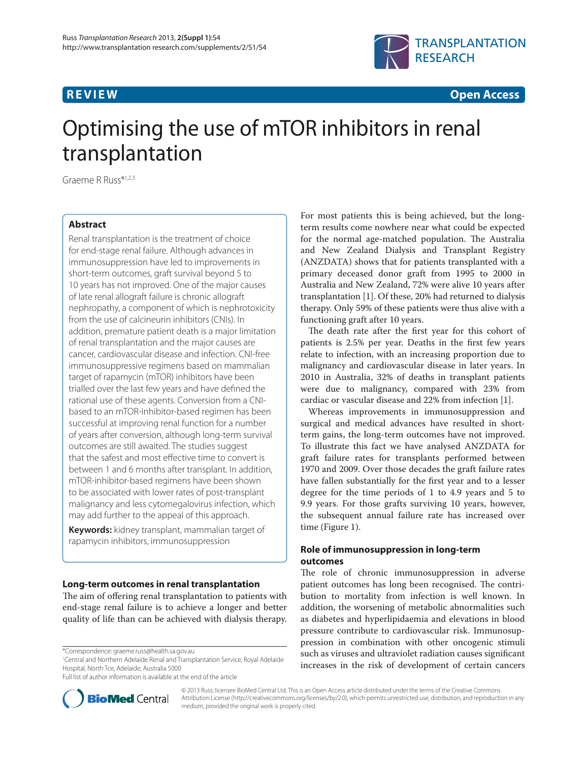

**R E V I E W Open Access**

# Optimising the use of mTOR inhibitors in renal transplantation

Graeme R Russ\*1,2,3

# **Abstract**

Renal transplantation is the treatment of choice for end-stage renal failure. Although advances in immunosuppression have led to improvements in short-term outcomes, graft survival beyond 5 to 10 years has not improved. One of the major causes of late renal allograft failure is chronic allograft nephropathy, a component of which is nephrotoxicity from the use of calcineurin inhibitors (CNIs). In addition, premature patient death is a major limitation of renal transplantation and the major causes are cancer, cardiovascular disease and infection. CNI-free immunosuppressive regimens based on mammalian target of rapamycin (mTOR) inhibitors have been trialled over the last few years and have defined the rational use of these agents. Conversion from a CNIbased to an mTOR-inhibitor-based regimen has been successful at improving renal function for a number of years after conversion, although long-term survival outcomes are still awaited. The studies suggest that the safest and most effective time to convert is between 1 and 6 months after transplant. In addition, mTOR-inhibitor-based regimens have been shown to be associated with lower rates of post-transplant malignancy and less cytomegalovirus infection, which may add further to the appeal of this approach.

**Keywords:** kidney transplant, mammalian target of rapamycin inhibitors, immunosuppression

# **Long-term outcomes in renal transplantation**

The aim of offering renal transplantation to patients with end-stage renal failure is to achieve a longer and better quality of life than can be achieved with dialysis therapy.

1 Central and Northern Adelaide Renal and Transplantation Service, Royal Adelaide Hospital, North Tce, Adelaide, Australia 5000

Full list of author information is available at the end of the article



For most patients this is being achieved, but the longterm results come nowhere near what could be expected for the normal age-matched population. The Australia and New Zealand Dialysis and Transplant Registry (ANZDATA) shows that for patients transplanted with a primary deceased donor graft from 1995 to 2000 in Australia and New Zealand, 72% were alive 10 years after transplantation [1]. Of these, 20% had returned to dialysis therapy. Only 59% of these patients were thus alive with a functioning graft after 10 years.

The death rate after the first year for this cohort of patients is 2.5% per year. Deaths in the first few years relate to infection, with an increasing proportion due to malignancy and cardiovascular disease in later years. In 2010 in Australia, 32% of deaths in transplant patients were due to malignancy, compared with 23% from cardiac or vascular disease and 22% from infection [1].

Whereas improvements in immunosuppression and surgical and medical advances have resulted in shortterm gains, the long-term outcomes have not improved. To illustrate this fact we have analysed ANZDATA for graft failure rates for transplants performed between 1970 and 2009. Over those decades the graft failure rates have fallen substantially for the first year and to a lesser degree for the time periods of 1 to 4.9 years and 5 to 9.9 years. For those grafts surviving 10 years, however, the subsequent annual failure rate has increased over time (Figure 1).

# **Role of immunosuppression in long-term outcomes**

The role of chronic immunosuppression in adverse patient outcomes has long been recognised. The contribution to mortality from infection is well known. In addition, the worsening of metabolic abnormalities such as diabetes and hyperlipidaemia and elevations in blood pressure contribute to cardiovascular risk. Immunosuppression in combination with other oncogenic stimuli such as viruses and ultraviolet radiation causes significant increases in the risk of development of certain cancers

© 2013 Russ; licensee BioMed Central Ltd. This is an Open Access article distributed under the terms of the Creative Commons Attribution License (http://creativecommons.org/licenses/by/2.0), which permits unrestricted use, distribution, and reproduction in any medium, provided the original work is properly cited.

<sup>\*</sup>Correspondence: graeme.russ@health.sa.gov.au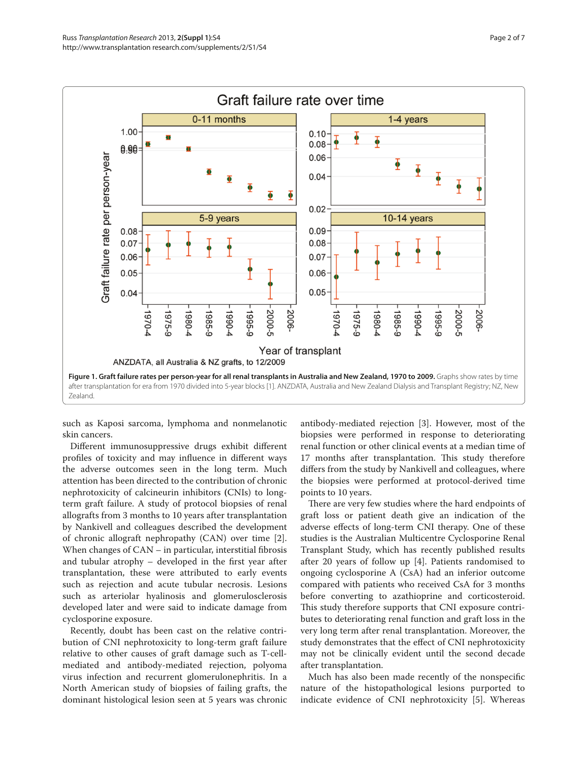

such as Kaposi sarcoma, lymphoma and nonmelanotic skin cancers.

Different immunosuppressive drugs exhibit different profiles of toxicity and may influence in different ways the adverse outcomes seen in the long term. Much attention has been directed to the contribution of chronic nephrotoxicity of calcineurin inhibitors **(**CNIs) to longterm graft failure. A study of protocol biopsies of renal allografts from 3 months to 10 years after transplantation by Nankivell and colleagues described the development of chronic allograft nephropathy (CAN) over time [2]. When changes of  $CAN -$  in particular, interstitial fibrosis and tubular atrophy  $-$  developed in the first year after transplantation, these were attributed to early events such as rejection and acute tubular necrosis. Lesions such as arteriolar hyalinosis and glomerulosclerosis developed later and were said to indicate damage from cyclosporine exposure.

Recently, doubt has been cast on the relative contribution of CNI nephrotoxicity to long-term graft failure relative to other causes of graft damage such as T-cellmediated and antibody-mediated rejection, polyoma virus infection and recurrent glomerulonephritis. In a North American study of biopsies of failing grafts, the dominant histological lesion seen at 5 years was chronic antibody-mediated rejection [3]. However, most of the biopsies were performed in response to deteriorating renal function or other clinical events at a median time of 17 months after transplantation. This study therefore differs from the study by Nankivell and colleagues, where the biopsies were performed at protocol-derived time points to 10 years.

There are very few studies where the hard endpoints of graft loss or patient death give an indication of the adverse effects of long-term CNI therapy. One of these studies is the Australian Multicentre Cyclosporine Renal Transplant Study, which has recently published results after 20 years of follow up [4]. Patients randomised to ongoing cyclosporine A (CsA) had an inferior outcome compared with patients who received CsA for 3 months before converting to azathioprine and corticosteroid. This study therefore supports that CNI exposure contributes to deteriorating renal function and graft loss in the very long term after renal transplantation. Moreover, the study demonstrates that the effect of CNI nephrotoxicity may not be clinically evident until the second decade after transplantation.

Much has also been made recently of the nonspecific nature of the histopathological lesions purported to indicate evidence of CNI nephrotoxicity [5]. Whereas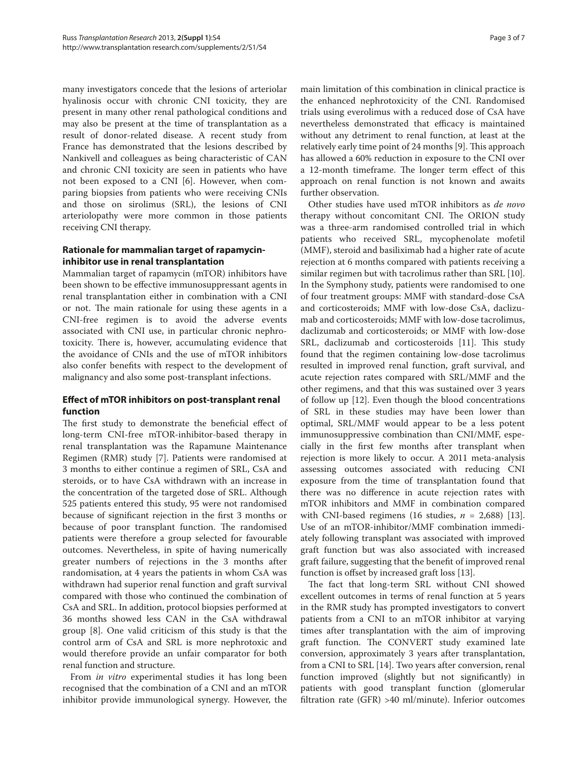many investigators concede that the lesions of arteriolar hyalinosis occur with chronic CNI toxicity, they are present in many other renal pathological conditions and may also be present at the time of transplantation as a result of donor-related disease. A recent study from France has demonstrated that the lesions described by Nankivell and colleagues as being characteristic of CAN and chronic CNI toxicity are seen in patients who have not been exposed to a CNI [6]. However, when comparing biopsies from patients who were receiving CNIs and those on sirolimus (SRL), the lesions of CNI arteriolopathy were more common in those patients receiving CNI therapy.

# **Rationale for mammalian target of rapamycininhibitor use in renal transplantation**

Mammalian target of rapamycin (mTOR) inhibitors have been shown to be effective immunosuppressant agents in renal transplantation either in combination with a CNI or not. The main rationale for using these agents in a CNI-free regimen is to avoid the adverse events associated with CNI use, in particular chronic nephrotoxicity. There is, however, accumulating evidence that the avoidance of CNIs and the use of mTOR inhibitors also confer benefits with respect to the development of malignancy and also some post-transplant infections.

# **Effect of mTOR inhibitors on post-transplant renal function**

The first study to demonstrate the beneficial effect of long-term CNI-free mTOR-inhibitor-based therapy in renal transplantation was the Rapamune Maintenance Regimen (RMR) study [7]. Patients were randomised at 3 months to either continue a regimen of SRL, CsA and steroids, or to have CsA withdrawn with an increase in the concentration of the targeted dose of SRL. Although 525 patients entered this study, 95 were not randomised because of significant rejection in the first 3 months or because of poor transplant function. The randomised patients were therefore a group selected for favourable outcomes. Nevertheless, in spite of having numerically greater numbers of rejections in the 3 months after randomisation, at 4 years the patients in whom CsA was withdrawn had superior renal function and graft survival compared with those who continued the combination of CsA and SRL. In addition, protocol biopsies performed at 36 months showed less CAN in the CsA withdrawal group [8]. One valid criticism of this study is that the control arm of CsA and SRL is more nephrotoxic and would therefore provide an unfair comparator for both renal function and structure.

From *in vitro* experimental studies it has long been recognised that the combination of a CNI and an mTOR inhibitor provide immunological synergy. However, the main limitation of this combination in clinical practice is the enhanced nephrotoxicity of the CNI. Randomised trials using everolimus with a reduced dose of CsA have nevertheless demonstrated that efficacy is maintained without any detriment to renal function, at least at the relatively early time point of 24 months [9]. This approach has allowed a 60% reduction in exposure to the CNI over a 12-month timeframe. The longer term effect of this approach on renal function is not known and awaits further observation.

Other studies have used mTOR inhibitors as *de novo* therapy without concomitant CNI. The ORION study was a three-arm randomised controlled trial in which patients who received SRL, mycophenolate mofetil (MMF), steroid and basiliximab had a higher rate of acute rejection at 6 months compared with patients receiving a similar regimen but with tacrolimus rather than SRL [10]. In the Symphony study, patients were randomised to one of four treatment groups: MMF with standard-dose CsA and corticosteroids; MMF with low-dose CsA, daclizumab and corticosteroids; MMF with low-dose tacrolimus, daclizumab and corticosteroids; or MMF with low-dose SRL, daclizumab and corticosteroids [11]. This study found that the regimen containing low-dose tacrolimus resulted in improved renal function, graft survival, and acute rejection rates compared with SRL/MMF and the other regimens, and that this was sustained over 3 years of follow up [12]. Even though the blood concentrations of SRL in these studies may have been lower than optimal, SRL/MMF would appear to be a less potent immuno suppressive combination than CNI/MMF, especially in the first few months after transplant when rejection is more likely to occur. A 2011 meta-analysis assessing outcomes associated with reducing CNI exposure from the time of transplantation found that there was no difference in acute rejection rates with mTOR inhibitors and MMF in combination compared with CNI-based regimens (16 studies,  $n = 2,688$ ) [13]. Use of an mTOR-inhibitor/MMF combination immediately following transplant was associated with improved graft function but was also associated with increased graft failure, suggesting that the benefit of improved renal function is offset by increased graft loss [13].

The fact that long-term SRL without CNI showed excellent outcomes in terms of renal function at 5 years in the RMR study has prompted investigators to convert patients from a CNI to an mTOR inhibitor at varying times after transplantation with the aim of improving graft function. The CONVERT study examined late conversion, approximately 3 years after transplantation, from a CNI to SRL [14]. Two years after conversion, renal function improved (slightly but not significantly) in patients with good transplant function (glomerular filtration rate (GFR)  $>40$  ml/minute). Inferior outcomes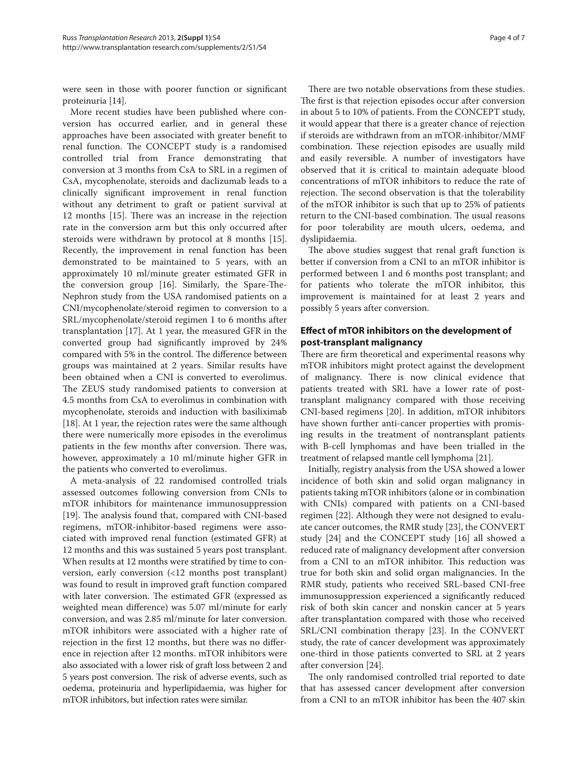were seen in those with poorer function or significant proteinuria [14].

More recent studies have been published where conversion has occurred earlier, and in general these approaches have been associated with greater benefit to renal function. The CONCEPT study is a randomised controlled trial from France demonstrating that conversion at 3 months from CsA to SRL in a regimen of CsA, mycophenolate, steroids and daclizumab leads to a clinically significant improvement in renal function without any detriment to graft or patient survival at 12 months [15]. There was an increase in the rejection rate in the conversion arm but this only occurred after steroids were withdrawn by protocol at 8 months [15]. Recently, the improvement in renal function has been demonstrated to be maintained to 5 years, with an approximately 10 ml/minute greater estimated GFR in the conversion group [16]. Similarly, the Spare-The-Nephron study from the USA randomised patients on a CNI/mycophenolate/steroid regimen to conversion to a SRL/mycophenolate/steroid regimen 1 to 6 months after transplantation [17]. At 1 year, the measured GFR in the converted group had significantly improved by 24% compared with 5% in the control. The difference between groups was maintained at 2 years. Similar results have been obtained when a CNI is converted to everolimus. The ZEUS study randomised patients to conversion at 4.5 months from CsA to everolimus in combination with mycophenolate, steroids and induction with basiliximab [18]. At 1 year, the rejection rates were the same although there were numerically more episodes in the everolimus patients in the few months after conversion. There was, however, approximately a 10 ml/minute higher GFR in the patients who converted to everolimus.

A meta-analysis of 22 randomised controlled trials assessed outcomes following conversion from CNIs to mTOR inhibitors for maintenance immunosuppression [19]. The analysis found that, compared with CNI-based regimens, mTOR-inhibitor-based regimens were associated with improved renal function (estimated GFR) at 12 months and this was sustained 5 years post transplant. When results at 12 months were stratified by time to conversion, early conversion  $(12 \text{ months post transplant})$ was found to result in improved graft function compared with later conversion. The estimated GFR (expressed as weighted mean difference) was 5.07 ml/minute for early conversion, and was 2.85 ml/minute for later conversion. mTOR inhibitors were associated with a higher rate of rejection in the first 12 months, but there was no difference in rejection after 12 months. mTOR inhibitors were also associated with a lower risk of graft loss between 2 and 5 years post conversion. The risk of adverse events, such as oedema, proteinuria and hyperlipidaemia, was higher for mTOR inhibitors, but infection rates were similar.

There are two notable observations from these studies. The first is that rejection episodes occur after conversion in about 5 to 10% of patients. From the CONCEPT study, it would appear that there is a greater chance of rejection if steroids are withdrawn from an mTOR-inhibitor/MMF combination. These rejection episodes are usually mild and easily reversible. A number of investigators have observed that it is critical to maintain adequate blood concentrations of mTOR inhibitors to reduce the rate of rejection. The second observation is that the tolerability of the mTOR inhibitor is such that up to 25% of patients return to the CNI-based combination. The usual reasons for poor tolerability are mouth ulcers, oedema, and dyslipidaemia.

The above studies suggest that renal graft function is better if conversion from a CNI to an mTOR inhibitor is performed between 1 and 6 months post transplant; and for patients who tolerate the mTOR inhibitor, this improvement is maintained for at least 2 years and possibly 5 years after conversion.

# **Eff ect of mTOR inhibitors on the development of post-transplant malignancy**

There are firm theoretical and experimental reasons why mTOR inhibitors might protect against the development of malignancy. There is now clinical evidence that patients treated with SRL have a lower rate of posttransplant malignancy compared with those receiving CNI-based regimens [20]. In addition, mTOR inhibitors have shown further anti-cancer properties with promising results in the treatment of nontransplant patients with B-cell lymphomas and have been trialled in the treatment of relapsed mantle cell lymphoma [21].

Initially, registry analysis from the USA showed a lower incidence of both skin and solid organ malignancy in patients taking mTOR inhibitors (alone or in combination with CNIs) compared with patients on a CNI-based regimen [22]. Although they were not designed to evaluate cancer outcomes, the RMR study [23], the CONVERT study [24] and the CONCEPT study [16] all showed a reduced rate of malignancy development after conversion from a CNI to an mTOR inhibitor. This reduction was true for both skin and solid organ malignancies. In the RMR study, patients who received SRL-based CNI-free immunosuppression experienced a significantly reduced risk of both skin cancer and nonskin cancer at 5 years after transplantation compared with those who received SRL/CNI combination therapy [23]. In the CONVERT study, the rate of cancer development was approximately one-third in those patients converted to SRL at 2 years after conversion [24].

The only randomised controlled trial reported to date that has assessed cancer development after conversion from a CNI to an mTOR inhibitor has been the 407 skin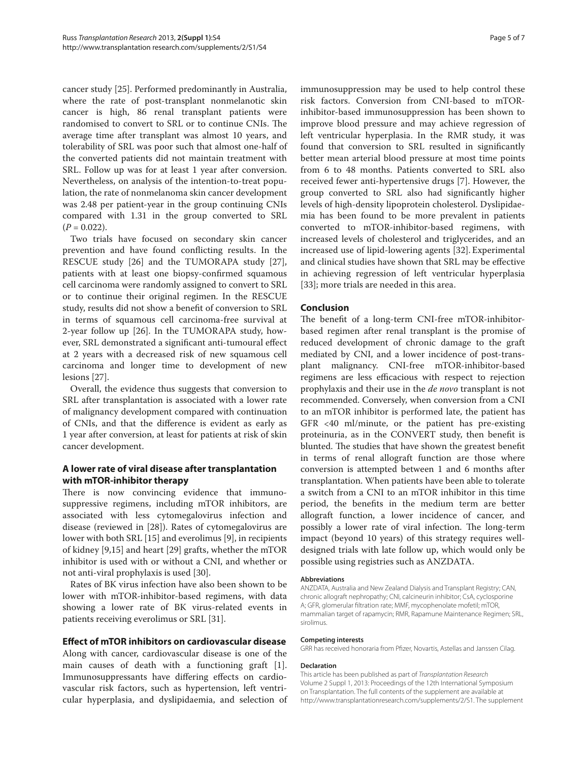cancer study [25]. Performed predominantly in Australia, where the rate of post-transplant nonmelanotic skin cancer is high, 86 renal transplant patients were randomised to convert to SRL or to continue CNIs. The average time after transplant was almost 10 years, and tolerability of SRL was poor such that almost one-half of the converted patients did not maintain treatment with SRL. Follow up was for at least 1 year after conversion. Nevertheless, on analysis of the intention-to-treat population, the rate of nonmelanoma skin cancer development was 2.48 per patient-year in the group continuing CNIs compared with 1.31 in the group converted to SRL  $(P = 0.022)$ .

Two trials have focused on secondary skin cancer prevention and have found conflicting results. In the RESCUE study [26] and the TUMORAPA study [27], patients with at least one biopsy-confirmed squamous cell carcinoma were randomly assigned to convert to SRL or to continue their original regimen. In the RESCUE study, results did not show a benefit of conversion to SRL in terms of squamous cell carcinoma-free survival at 2-year follow up [26]. In the TUMORAPA study, however, SRL demonstrated a significant anti-tumoural effect at 2 years with a decreased risk of new squamous cell carcinoma and longer time to development of new lesions [27].

Overall, the evidence thus suggests that conversion to SRL after transplantation is associated with a lower rate of malignancy development compared with continuation of CNIs, and that the difference is evident as early as 1 year after conversion, at least for patients at risk of skin cancer development.

# **A lower rate of viral disease after transplantation with mTOR-inhibitor therapy**

There is now convincing evidence that immunosuppressive regimens, including mTOR inhibitors, are associated with less cytomegalovirus infection and disease (reviewed in [28]). Rates of cytomegalovirus are lower with both SRL [15] and everolimus [9], in recipients of kidney [9,15] and heart [29] grafts, whether the mTOR inhibitor is used with or without a CNI, and whether or not anti-viral prophylaxis is used [30].

Rates of BK virus infection have also been shown to be lower with mTOR-inhibitor-based regimens, with data showing a lower rate of BK virus-related events in patients receiving everolimus or SRL [31].

## **Eff ect of mTOR inhibitors on cardiovascular disease**

Along with cancer, cardiovascular disease is one of the main causes of death with a functioning graft [1]. Immunosuppressants have differing effects on cardiovascular risk factors, such as hypertension, left ventricular hyperplasia, and dyslipidaemia, and selection of immunosuppression may be used to help control these risk factors. Conversion from CNI-based to mTORinhibitor-based immunosuppression has been shown to improve blood pressure and may achieve regression of left ventricular hyperplasia. In the RMR study, it was found that conversion to SRL resulted in significantly better mean arterial blood pressure at most time points from 6 to 48 months. Patients converted to SRL also received fewer anti-hypertensive drugs [7]. However, the group converted to SRL also had significantly higher levels of high-density lipoprotein cholesterol. Dyslipidaemia has been found to be more prevalent in patients converted to mTOR-inhibitor-based regimens, with increased levels of cholesterol and triglycerides, and an increased use of lipid-lowering agents [32]. Experimental and clinical studies have shown that SRL may be effective in achieving regression of left ventricular hyperplasia [33]; more trials are needed in this area.

## **Conclusion**

The benefit of a long-term CNI-free mTOR-inhibitorbased regimen after renal transplant is the promise of reduced development of chronic damage to the graft mediated by CNI, and a lower incidence of post-transplant malignancy. CNI-free mTOR-inhibitor-based regimens are less efficacious with respect to rejection prophylaxis and their use in the *de novo* transplant is not recommended. Conversely, when conversion from a CNI to an mTOR inhibitor is performed late, the patient has GFR <40 ml/minute, or the patient has pre-existing proteinuria, as in the CONVERT study, then benefit is blunted. The studies that have shown the greatest benefit in terms of renal allograft function are those where conversion is attempted between 1 and 6 months after transplantation. When patients have been able to tolerate a switch from a CNI to an mTOR inhibitor in this time period, the benefits in the medium term are better allograft function, a lower incidence of cancer, and possibly a lower rate of viral infection. The long-term impact (beyond 10 years) of this strategy requires welldesigned trials with late follow up, which would only be possible using registries such as ANZDATA.

#### **Abbreviations**

ANZDATA, Australia and New Zealand Dialysis and Transplant Registry; CAN, chronic allograft nephropathy; CNI, calcineurin inhibitor; CsA, cyclosporine A; GFR, glomerular filtration rate; MMF, mycophenolate mofetil; mTOR, mammalian target of rapamycin; RMR, Rapamune Maintenance Regimen; SRL, sirolimus.

#### **Competing interests**

GRR has received honoraria from Pfizer, Novartis, Astellas and Janssen Cilag.

#### **Declaration**

This article has been published as part of Transplantation Research Volume 2 Suppl 1, 2013: Proceedings of the 12th International Symposium on Transplantation. The full contents of the supplement are available at http://www.transplantationresearch.com/supplements/2/S1. The supplement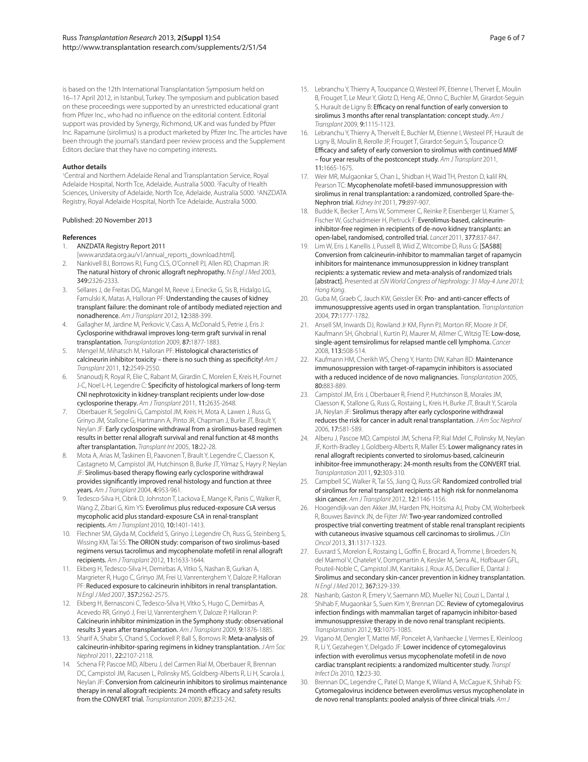is based on the 12th International Transplantation Symposium held on 16–17 April 2012, in Istanbul, Turkey. The symposium and publication based on these proceedings were supported by an unrestricted educational grant from Pfizer Inc., who had no influence on the editorial content. Editorial support was provided by Synergy, Richmond, UK and was funded by Pfizer Inc. Rapamune (sirolimus) is a product marketed by Pfizer Inc. The articles have been through the journal's standard peer review process and the Supplement Editors declare that they have no competing interests.

#### **Author details**

1 Central and Northern Adelaide Renal and Transplantation Service, Royal Adelaide Hospital, North Tce, Adelaide, Australia 5000. <sup>2</sup>Faculty of Health Sciences, University of Adelaide, North Tce, Adelaide, Australia 5000. <sup>3</sup>ANZDATA Registry, Royal Adelaide Hospital, North Tce Adelaide, Australia 5000.

#### Published: 20 November 2013

#### **References**

- 1. ANZDATA Registry Report 2011
- [www.anzdata.org.au/v1/annual\_reports\_download.html].
- 2. Nankivell BJ, Borrows RJ, Fung CLS, O'Connell PJ, Allen RD, Chapman JR: The natural history of chronic allograft nephropathy. N Engl J Med 2003, 349:2326-2333.
- 3. Sellares J, de Freitas DG, Mangel M, Reeve J, Einecke G, Sis B, Hidalgo LG, Famulski K, Matas A, Halloran PF: Understanding the causes of kidney transplant failure: the dominant role of antibody mediated rejection and nonadherence. Am J Transplant 2012, 12:388-399.
- 4. Gallagher M, Jardine M, Perkovic V, Cass A, McDonald S, Petrie J, Eris J: Cyclosporine withdrawal improves long-term graft survival in renal transplantation. Transplantation 2009, 87:1877-1883.
- 5. Mengel M, Mihatsch M, Halloran PF: Histological characteristics of calcineurin inhibitor toxicity – there is no such thing as specificity!  $AmJ$ Transplant 2011, 12:2549-2550.
- 6. Snanoudj R, Royal R, Elie C, Rabant M, Girardin C, Morelen E, Kreis H, Fournet J-C, Noel L-H, Legendre C: Specificity of histological markers of long-term CNI nephrotoxicity in kidney-transplant recipients under low-dose cyclosporine therapy. Am J Transplant 2011, 11:2635-2648.
- 7. Oberbauer R, Segolini G, Campistol JM, Kreis H, Mota A, Lawen J, Russ G, Grinyo JM, Stallone G, Hartmann A, Pinto JR, Chapman J, Burke JT, Brault Y, Neylan JF: Early cyclosporine withdrawal from a sirolimus-based regimen results in better renal allograft survival and renal function at 48 months after transplantation. Transplant Int 2005, 18:22-28.
- 8. Mota A, Arias M, Taskinen EI, Paavonen T, Brault Y, Legendre C, Claesson K, Castagneto M, Campistol JM, Hutchinson B, Burke JT, Yilmaz S, Hayry P, Neylan JF: Sirolimus-based therapy flowing early cyclosporine withdrawal provides significantly improved renal histology and function at three years. Am J Transplant 2004, 4:953-961.
- 9. Tedesco-Silva H, Cibrik D, Johnston T, Lackova E, Mange K, Panis C, Walker R, Wang Z, Zibari G, Kim YS: Everolimus plus reduced-exposure CsA versus mycopholic acid plus standard-exposure CsA in renal-transplant recipients. Am J Transplant 2010, 10:1401-1413.
- Flechner SM, Glyda M, Cockfield S, Grinyo J, Legendre Ch, Russ G, Steinberg S, Wissing KM, Tai SS: The ORION study: comparison of two sirolimus-based regimens versus tacrolimus and mycophenolate mofetil in renal allograft recipients. Am J Transplant 2012, 11:1633-1644.
- 11. Ekberg H, Tedesco-Silva H, Demirbas A, Vitko S, Nashan B, Gurkan A, Margrieter R, Hugo C, Grinyo JM, Frei U, Vanrenterghem Y, Daloze P, Halloran PF: Reduced exposure to calcineurin inhibitors in renal transplantation. N Engl J Med 2007, 357:2562-2575.
- 12. Ekberg H, Bernasconi C, Tedesco-Silva H, Vítko S, Hugo C, Demirbas A, Acevedo RR, Grinyó J, Frei U, Vanrenterghem Y, Daloze P, Halloran P: Calcineurin inhibitor minimization in the Symphony study: observational results 3 years after transplantation. Am J Transplant 2009, 9:1876-1885.
- 13. Sharif A, Shabir S, Chand S, Cockwell P, Ball S, Borrows R: Meta-analysis of calcineurin-inhibitor-sparing regimens in kidney transplantation. JAm Soc Nephrol 2011, 22:2107-2118.
- 14. Schena FP, Pascoe MD, Alberu J, del Carmen Rial M, Oberbauer R, Brennan DC, Campistol JM, Racusen L, Polinsky MS, Goldberg-Alberts R, Li H, Scarola J, Neylan JF: Conversion from calcineurin inhibitors to sirolimus maintenance therapy in renal allograft recipients: 24 month efficacy and safety results from the CONVERT trial. Transplantation 2009, 87:233-242.
- 15. Lebranchu Y, Thierry A, Touopance O, Westeel PF, Etienne I, Thervet E, Moulin B, Frouget T, Le Meur Y, Glotz D, Heng AE, Onno C, Buchler M, Girardot-Seguin S, Hurault de Ligny B: Efficacy on renal function of early conversion to sirolimus 3 months after renal transplantation: concept study. Am J Transplant 2009, 9:1115-1123.
- 16. Lebranchu Y, Thierry A, Thervelt E, Buchler M, Etienne I, Westeel PF, Hurault de Ligny B, Moulin B, Rerolle JP, Frouget T, Girardot-Seguin S, Toupance O: Efficacy and safety of early conversion to sirolimus with continued MMF – four year results of the postconcept study. Am J Transplant 2011, 11:1665-1675.
- 17. Weir MR, Mulgaonkar S, Chan L, Shidban H, Waid TH, Preston D, kalil RN, Pearson TC: Mycophenolate mofetil-based immunosuppression with sirolimus in renal transplantation: a randomized, controlled Spare-the-Nephron trial. Kidney Int 2011, 79:897-907.
- 18. Budde K, Becker T, Arns W, Sommerer C, Reinke P, Eisenberger U, Kramer S, Fischer W, Gschaidmeier H, Pietruck F: Everolimus-based, calcineurininhibitor-free regimen in recipients of de-novo kidney transplants: an open-label, randomised, controlled trial. Lancet 2011, 377:837-847.
- 19. Lim W, Eris J, Kanellis J, Pussell B, Wiid Z, Witcombe D, Russ G: [SA588] Conversion from calcineurin-inhibitor to mammalian target of rapamycin inhibitors for maintenance immunosuppression in kidney transplant recipients: a systematic review and meta-analysis of randomized trials [abstract]. Presented at ISN World Congress of Nephrology: 31 May-4 June 2013; Hong Kong.
- 20. Guba M, Graeb C, Jauch KW, Geissler EK: Pro- and anti-cancer effects of immunosuppressive agents used in organ transplantation. Transplantation 2004, 77:1777-1782.
- 21. Ansell SM, Inwards DJ, Rowland Jr KM, Flynn PJ, Morton RF, Moore Jr DF, Kaufmann SH, Ghobrial I, Kurtin PJ, Maurer M, Allmer C, Witzig TE: Low-dose, single-agent temsirolimus for relapsed mantle cell lymphoma. Cancer 2008, 113:508-514.
- 22. Kaufmann HM, Cherikh WS, Cheng Y, Hanto DW, Kahan BD: Maintenance immunosuppression with target-of-rapamycin inhibitors is associated with a reduced incidence of de novo malignancies. Transplantation 2005, 80:883-889.
- 23. Campistol JM, Eris J, Oberbauer R, Friend P, Hutchinson B, Morales JM, Claesson K, Stallone G, Russ G, Rostaing L, Kreis H, Burke JT, Brault Y, Scarola JA, Neylan JF: Sirolimus therapy after early cyclosporine withdrawal reduces the risk for cancer in adult renal transplantation. J Am Soc Nephrol 2006, 17:581-589.
- 24. Alberu J, Pascoe MD, Campistol JM, Schena FP, Rial Mdel C, Polinsky M, Neylan JF, Korth-Bradley J, Goldberg-Alberts R, Maller ES: Lower malignancy rates in renal allograft recipients converted to sirolomus-based, calcineurin inhibitor-free immunotherapy: 24-month results from the CONVERT trial. Transplantation 2011, 92:303-310.
- 25. Campbell SC, Walker R, Tai SS, Jiang Q, Russ GR: Randomized controlled trial of sirolimus for renal transplant recipients at high risk for nonmelanoma skin cancer. Am J Transplant 2012, 12:1146-1156.
- 26. Hoogendijk-van den Akker JM, Harden PN, Hoitsma AJ, Proby CM, Wolterbeek R, Bouwes Bavinck JN, de Fijter JW: Two-year randomized controlled prospective trial converting treatment of stable renal transplant recipients with cutaneous invasive squamous cell carcinomas to sirolimus. J Clin Oncol 2013, 31:1317-1323.
- 27. Euvrard S, Morelon E, Rostaing L, Goffin E, Brocard A, Tromme I, Broeders N, del Marmol V, Chatelet V, Dompmartin A, Kessler M, Serra AL, Hofbauer GFL, Pouteil-Noble C, Campistol JM, Kanitakis J, Roux AS, Decullier E, Dantal J: Sirolimus and secondary skin-cancer prevention in kidney transplantation. N Engl J Med 2012, 367:329-339.
- 28. Nashanb, Gaston R, Emery V, Saemann MD, Mueller NJ, Couzi L, Dantal J, Shihab F, Mugaonkar S, Suen Kim Y, Brennan DC: Review of cytomegalovirus infection findings with mammalian target of rapamycin inhibitor-based immunosuppressive therapy in de novo renal transplant recipients. Transplantation 2012, 93:1075-1085.
- 29. Vigano M, Dengler T, Mattei MF, Poncelet A, Vanhaecke J, Vermes E, Kleinloog R, Li Y, Gezahegen Y, Delgado JF: Lower incidence of cytomegalovirus infection with everolimus versus mycophenolate mofetil in de novo cardiac transplant recipients: a randomized multicenter study. Transpl Infect Dis 2010, 12:23-30.
- 30. Brennan DC, Legendre C, Patel D, Mange K, Wiland A, McCague K, Shihab FS: Cytomegalovirus incidence between everolimus versus mycophenolate in de novo renal transplants: pooled analysis of three clinical trials. Am J